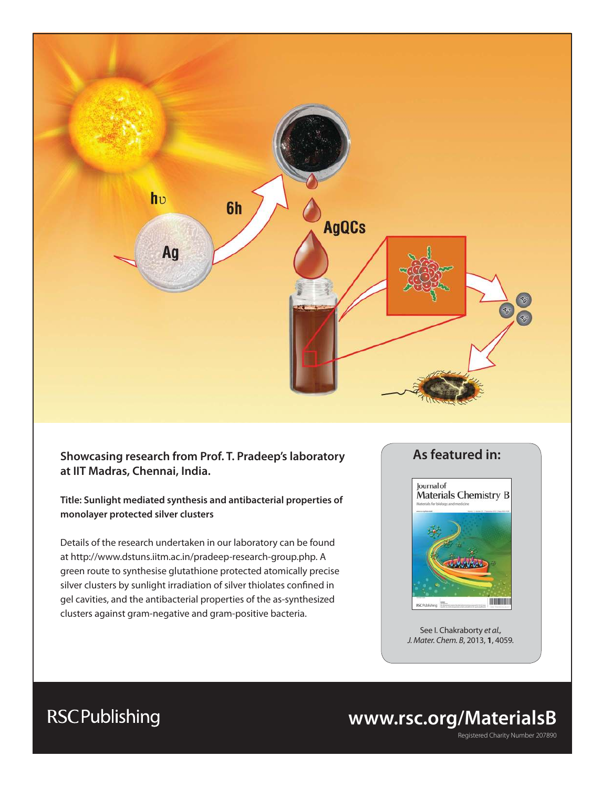

### **Showcasing research from Prof. T. Pradeep's laboratory at IIT Madras, Chennai, India.**

**Title: Sunlight mediated synthesis and antibacterial properties of monolayer protected silver clusters**

Details of the research undertaken in our laboratory can be found at http://www.dstuns.iitm.ac.in/pradeep-research-group.php. A green route to synthesise glutathione protected atomically precise silver clusters by sunlight irradiation of silver thiolates confined in gel cavities, and the antibacterial properties of the as-synthesized clusters against gram-negative and gram-positive bacteria.

### **As featured in:**



See I. Chakraborty et al., J. Mater. Chem. B, 2013, **1**, 4059.

# **www.rsc.org/MaterialsB**

Registered Charity Number 207890

# **RSCPublishing**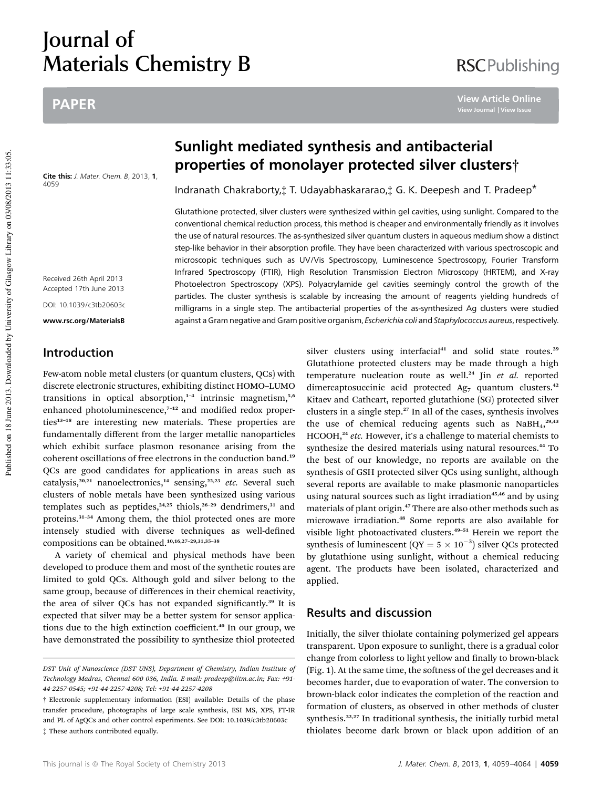# Journal of Materials Chemistry B

### PAPER

Cite this: J. Mater. Chem. B, 2013, 1, 4059

Received 26th April 2013 Accepted 17th June 2013 DOI: 10.1039/c3tb20603c

www.rsc.org/MaterialsB

### Introduction

Few-atom noble metal clusters (or quantum clusters, QCs) with discrete electronic structures, exhibiting distinct HOMO–LUMO transitions in optical absorption,<sup>1-4</sup> intrinsic magnetism,<sup>5,6</sup> enhanced photoluminescence, $7-12$  and modified redox properties<sup>13-18</sup> are interesting new materials. These properties are fundamentally different from the larger metallic nanoparticles which exhibit surface plasmon resonance arising from the coherent oscillations of free electrons in the conduction band.<sup>19</sup> QCs are good candidates for applications in areas such as catalysis,<sup>20,21</sup> nanoelectronics,<sup>14</sup> sensing,<sup>22,23</sup> etc. Several such clusters of noble metals have been synthesized using various templates such as peptides,<sup>24,25</sup> thiols,<sup>26-29</sup> dendrimers,<sup>31</sup> and proteins.<sup>31</sup>–<sup>34</sup> Among them, the thiol protected ones are more intensely studied with diverse techniques as well-defined compositions can be obtained.10,16,27–29,31,35–<sup>38</sup>

A variety of chemical and physical methods have been developed to produce them and most of the synthetic routes are limited to gold QCs. Although gold and silver belong to the same group, because of differences in their chemical reactivity, the area of silver QCs has not expanded significantly.<sup>39</sup> It is expected that silver may be a better system for sensor applications due to the high extinction coefficient.<sup>40</sup> In our group, we have demonstrated the possibility to synthesize thiol protected

## Sunlight mediated synthesis and antibacterial properties of monolayer protected silver clusters†

Indranath Chakraborty,‡ T. Udayabhaskararao,‡ G. K. Deepesh and T. Pradeep\*

Glutathione protected, silver clusters were synthesized within gel cavities, using sunlight. Compared to the conventional chemical reduction process, this method is cheaper and environmentally friendly as it involves the use of natural resources. The as-synthesized silver quantum clusters in aqueous medium show a distinct step-like behavior in their absorption profile. They have been characterized with various spectroscopic and microscopic techniques such as UV/Vis Spectroscopy, Luminescence Spectroscopy, Fourier Transform Infrared Spectroscopy (FTIR), High Resolution Transmission Electron Microscopy (HRTEM), and X-ray Photoelectron Spectroscopy (XPS). Polyacrylamide gel cavities seemingly control the growth of the particles. The cluster synthesis is scalable by increasing the amount of reagents yielding hundreds of milligrams in a single step. The antibacterial properties of the as-synthesized Ag clusters were studied against a Gram negative and Gram positive organism, Escherichia coli and Staphylococcus aureus, respectively.

> silver clusters using interfacial $41$  and solid state routes. $29$ Glutathione protected clusters may be made through a high temperature nucleation route as well.<sup>24</sup> Jin *et al.* reported dimercaptosuccinic acid protected  $Ag<sub>7</sub>$  quantum clusters.<sup>42</sup> Kitaev and Cathcart, reported glutathione (SG) protected silver clusters in a single step. $27$  In all of the cases, synthesis involves the use of chemical reducing agents such as  $NabH_4$ ,<sup>29,43</sup> HCOOH,<sup>24</sup> *etc.* However, it's a challenge to material chemists to synthesize the desired materials using natural resources.<sup>44</sup> To the best of our knowledge, no reports are available on the synthesis of GSH protected silver QCs using sunlight, although several reports are available to make plasmonic nanoparticles using natural sources such as light irradiation<sup>45,46</sup> and by using materials of plant origin.<sup>47</sup> There are also other methods such as microwave irradiation.<sup>48</sup> Some reports are also available for visible light photoactivated clusters.<sup>49</sup>–<sup>51</sup> Herein we report the synthesis of luminescent ( $QY = 5 \times 10^{-3}$ ) silver QCs protected by glutathione using sunlight, without a chemical reducing agent. The products have been isolated, characterized and applied.

### Results and discussion

Initially, the silver thiolate containing polymerized gel appears transparent. Upon exposure to sunlight, there is a gradual color change from colorless to light yellow and finally to brown-black  $(Fig. 1)$ . At the same time, the softness of the gel decreases and it becomes harder, due to evaporation of water. The conversion to brown-black color indicates the completion of the reaction and formation of clusters, as observed in other methods of cluster synthesis.<sup>22,27</sup> In traditional synthesis, the initially turbid metal thiolates become dark brown or black upon addition of an

## **RSCPublishing**

**View Article Online**

*DST Unit of Nanoscience (DST UNS), Department of Chemistry, Indian Institute of Technology Madras, Chennai 600 036, India. E-mail: pradeep@iitm.ac.in; Fax: +91- 44-2257-0545; +91-44-2257-4208; Tel: +91-44-2257-4208*

<sup>†</sup> Electronic supplementary information (ESI) available: Details of the phase transfer procedure, photographs of large scale synthesis, ESI MS, XPS, FT-IR and PL of AgQCs and other control experiments. See DOI: 10.1039/c3tb20603c ‡ These authors contributed equally.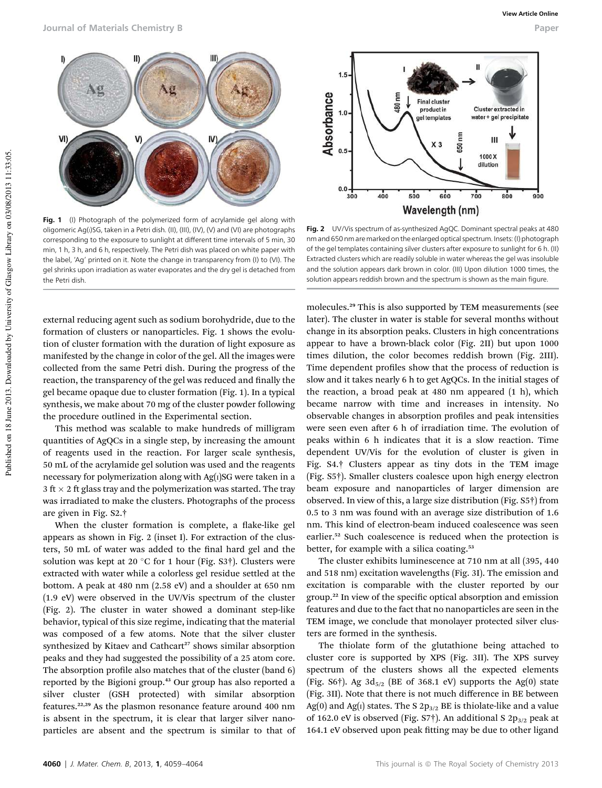

Fig. 1 (I) Photograph of the polymerized form of acrylamide gel along with oligomeric Ag(I)SG, taken in a Petri dish. (II), (III), (IV), (V) and (VI) are photographs corresponding to the exposure to sunlight at different time intervals of 5 min, 30 min, 1 h, 3 h, and 6 h, respectively. The Petri dish was placed on white paper with the label, 'Ag' printed on it. Note the change in transparency from (I) to (VI). The gel shrinks upon irradiation as water evaporates and the dry gel is detached from the Petri dish.

external reducing agent such as sodium borohydride, due to the formation of clusters or nanoparticles. Fig. 1 shows the evolution of cluster formation with the duration of light exposure as manifested by the change in color of the gel. All the images were collected from the same Petri dish. During the progress of the reaction, the transparency of the gel was reduced and finally the gel became opaque due to cluster formation (Fig. 1). In a typical synthesis, we make about 70 mg of the cluster powder following the procedure outlined in the Experimental section.

This method was scalable to make hundreds of milligram quantities of AgQCs in a single step, by increasing the amount of reagents used in the reaction. For larger scale synthesis, 50 mL of the acrylamide gel solution was used and the reagents necessary for polymerization along with  $Ag(i)SG$  were taken in a 3 ft  $\times$  2 ft glass tray and the polymerization was started. The tray was irradiated to make the clusters. Photographs of the process are given in Fig. S2.†

When the cluster formation is complete, a flake-like gel appears as shown in Fig. 2 (inset I). For extraction of the clusters, 50 mL of water was added to the final hard gel and the solution was kept at 20 °C for 1 hour (Fig. S3†). Clusters were extracted with water while a colorless gel residue settled at the bottom. A peak at 480 nm (2.58 eV) and a shoulder at 650 nm (1.9 eV) were observed in the UV/Vis spectrum of the cluster (Fig. 2). The cluster in water showed a dominant step-like behavior, typical of this size regime, indicating that the material was composed of a few atoms. Note that the silver cluster synthesized by Kitaev and Cathcart<sup>27</sup> shows similar absorption peaks and they had suggested the possibility of a 25 atom core. The absorption profile also matches that of the cluster (band 6) reported by the Bigioni group.<sup>43</sup> Our group has also reported a silver cluster (GSH protected) with similar absorption features.22,29 As the plasmon resonance feature around 400 nm is absent in the spectrum, it is clear that larger silver nanoparticles are absent and the spectrum is similar to that of



Fig. 2 UV/Vis spectrum of as-synthesized AgQC. Dominant spectral peaks at 480 nm and 650 nm are marked on the enlarged optical spectrum. Insets: (I) photograph of the gel templates containing silver clusters after exposure to sunlight for 6 h. (II) Extracted clusters which are readily soluble in water whereas the gel was insoluble and the solution appears dark brown in color. (III) Upon dilution 1000 times, the solution appears reddish brown and the spectrum is shown as the main figure.

molecules.<sup>29</sup> This is also supported by TEM measurements (see later). The cluster in water is stable for several months without change in its absorption peaks. Clusters in high concentrations appear to have a brown-black color (Fig. 2II) but upon 1000 times dilution, the color becomes reddish brown (Fig. 2III). Time dependent profiles show that the process of reduction is slow and it takes nearly 6 h to get AgQCs. In the initial stages of the reaction, a broad peak at 480 nm appeared (1 h), which became narrow with time and increases in intensity. No observable changes in absorption profiles and peak intensities were seen even after 6 h of irradiation time. The evolution of peaks within 6 h indicates that it is a slow reaction. Time dependent UV/Vis for the evolution of cluster is given in Fig. S4.† Clusters appear as tiny dots in the TEM image (Fig. S5†). Smaller clusters coalesce upon high energy electron beam exposure and nanoparticles of larger dimension are observed. In view of this, a large size distribution (Fig. S5†) from 0.5 to 3 nm was found with an average size distribution of 1.6 nm. This kind of electron-beam induced coalescence was seen earlier.<sup>52</sup> Such coalescence is reduced when the protection is better, for example with a silica coating.<sup>53</sup>

The cluster exhibits luminescence at 710 nm at all (395, 440 and 518 nm) excitation wavelengths (Fig. 3I). The emission and excitation is comparable with the cluster reported by our group.<sup>22</sup> In view of the specific optical absorption and emission features and due to the fact that no nanoparticles are seen in the TEM image, we conclude that monolayer protected silver clusters are formed in the synthesis.

The thiolate form of the glutathione being attached to cluster core is supported by XPS (Fig. 3II). The XPS survey spectrum of the clusters shows all the expected elements (Fig. S6†). Ag  $3d_{5/2}$  (BE of 368.1 eV) supports the Ag(0) state (Fig. 3II). Note that there is not much difference in BE between Ag(0) and Ag(1) states. The S  $2p_{3/2}$  BE is thiolate-like and a value of 162.0 eV is observed (Fig. S7 $\dagger$ ). An additional S 2 $p_{3/2}$  peak at 164.1 eV observed upon peak fitting may be due to other ligand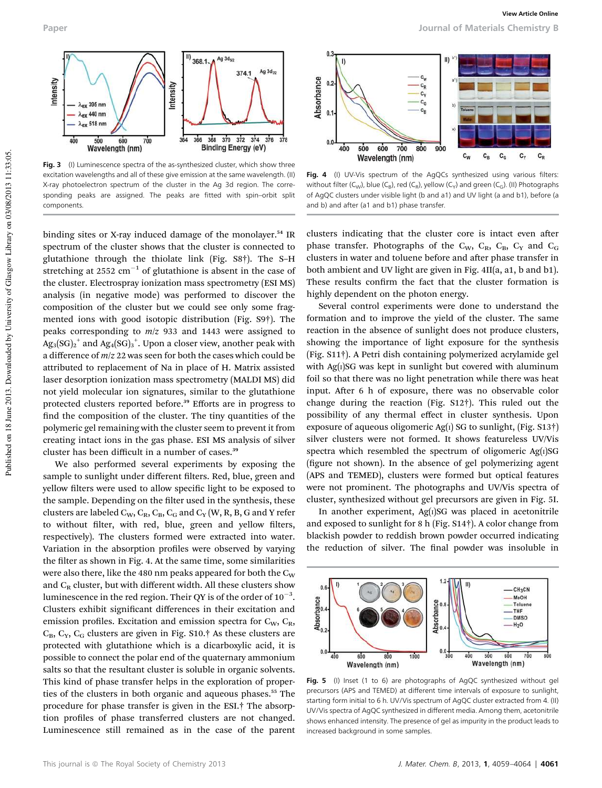

Fig. 3 (I) Luminescence spectra of the as-synthesized cluster, which show three excitation wavelengths and all of these give emission at the same wavelength. (II) X-ray photoelectron spectrum of the cluster in the Ag 3d region. The corresponding peaks are assigned. The peaks are fitted with spin–orbit split components.

binding sites or X-ray induced damage of the monolayer.<sup>54</sup> IR spectrum of the cluster shows that the cluster is connected to glutathione through the thiolate link (Fig. S8†). The S–H stretching at  $2552 \text{ cm}^{-1}$  of glutathione is absent in the case of the cluster. Electrospray ionization mass spectrometry (ESI MS) analysis (in negative mode) was performed to discover the composition of the cluster but we could see only some fragmented ions with good isotopic distribution (Fig. S9†). The peaks corresponding to *m*/*z* 933 and 1443 were assigned to  $\mathrm{Ag_3(SG)_2}^+$  and  $\mathrm{Ag_4(SG)_3}^+$ . Upon a closer view, another peak with a difference of *m*/*z* 22 was seen for both the cases which could be attributed to replacement of Na in place of H. Matrix assisted laser desorption ionization mass spectrometry (MALDI MS) did not yield molecular ion signatures, similar to the glutathione protected clusters reported before.<sup>39</sup> Efforts are in progress to find the composition of the cluster. The tiny quantities of the polymeric gel remaining with the cluster seem to prevent it from creating intact ions in the gas phase. ESI MS analysis of silver cluster has been difficult in a number of cases.<sup>39</sup>

We also performed several experiments by exposing the sample to sunlight under different filters. Red, blue, green and yellow filters were used to allow specific light to be exposed to the sample. Depending on the filter used in the synthesis, these clusters are labeled  $C_W$ ,  $C_R$ ,  $C_B$ ,  $C_G$  and  $C_Y$  (W, R, B, G and Y refer to without filter, with red, blue, green and yellow filters, respectively). The clusters formed were extracted into water. Variation in the absorption profiles were observed by varying the filter as shown in Fig. 4. At the same time, some similarities were also there, like the 480 nm peaks appeared for both the  $C_W$ and  $C_R$  cluster, but with different width. All these clusters show luminescence in the red region. Their QY is of the order of  $10^{-3}$ . Clusters exhibit significant differences in their excitation and emission profiles. Excitation and emission spectra for  $C_W$ ,  $C_R$ ,  $C_B$ ,  $C_Y$ ,  $C_G$  clusters are given in Fig. S10.† As these clusters are protected with glutathione which is a dicarboxylic acid, it is possible to connect the polar end of the quaternary ammonium salts so that the resultant cluster is soluble in organic solvents. This kind of phase transfer helps in the exploration of properties of the clusters in both organic and aqueous phases.<sup>55</sup> The procedure for phase transfer is given in the ESI.† The absorption profiles of phase transferred clusters are not changed. Luminescence still remained as in the case of the parent



Fig. 4 (I) UV-Vis spectrum of the AgQCs synthesized using various filters: without filter (C<sub>W</sub>), blue (C<sub>B</sub>), red (C<sub>R</sub>), yellow (C<sub>Y</sub>) and green (C<sub>G</sub>). (II) Photographs of AgQC clusters under visible light (b and a1) and UV light (a and b1), before (a and b) and after (a1 and b1) phase transfer.

clusters indicating that the cluster core is intact even after phase transfer. Photographs of the  $C_W$ ,  $C_R$ ,  $C_B$ ,  $C_Y$  and  $C_G$ clusters in water and toluene before and after phase transfer in both ambient and UV light are given in Fig. 4II(a, a1, b and b1). These results confirm the fact that the cluster formation is highly dependent on the photon energy.

Several control experiments were done to understand the formation and to improve the yield of the cluster. The same reaction in the absence of sunlight does not produce clusters, showing the importance of light exposure for the synthesis (Fig. S11†). A Petri dish containing polymerized acrylamide gel with  $Ag(i)SG$  was kept in sunlight but covered with aluminum foil so that there was no light penetration while there was heat input. After 6 h of exposure, there was no observable color change during the reaction (Fig. S12†). This ruled out the possibility of any thermal effect in cluster synthesis. Upon exposure of aqueous oligomeric Ag( $I$ ) SG to sunlight, (Fig. S13 $\dagger$ ) silver clusters were not formed. It shows featureless UV/Vis spectra which resembled the spectrum of oligomeric  $Ag(i)SG$ (figure not shown). In the absence of gel polymerizing agent (APS and TEMED), clusters were formed but optical features were not prominent. The photographs and UV/Vis spectra of cluster, synthesized without gel precursors are given in Fig. 5I.

In another experiment,  $Ag(i)SG$  was placed in acetonitrile and exposed to sunlight for 8 h (Fig. S14†). A color change from blackish powder to reddish brown powder occurred indicating the reduction of silver. The final powder was insoluble in



Fig. 5 (I) Inset (1 to 6) are photographs of AgQC synthesized without gel precursors (APS and TEMED) at different time intervals of exposure to sunlight, starting form initial to 6 h. UV/Vis spectrum of AgQC cluster extracted from 4. (II) UV/Vis spectra of AgQC synthesized in different media. Among them, acetonitrile shows enhanced intensity. The presence of gel as impurity in the product leads to increased background in some samples.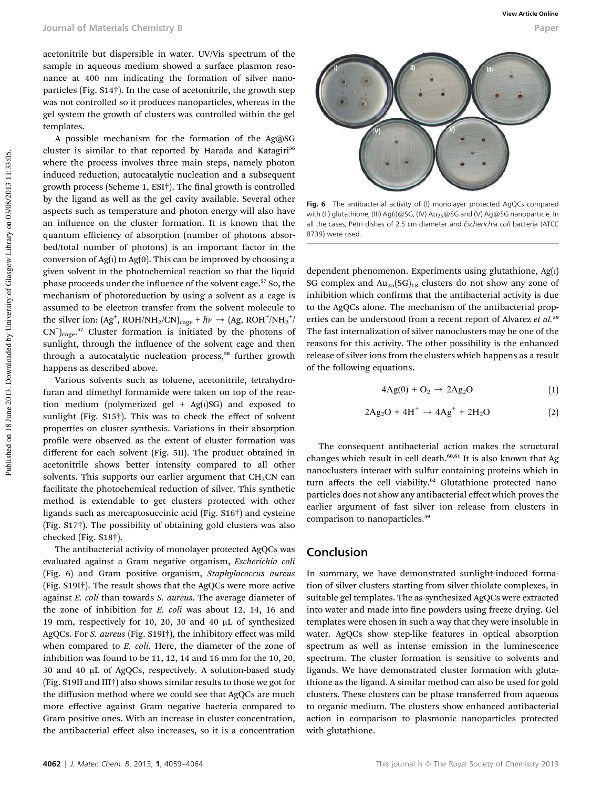acetonitrile but dispersible in water. UV/Vis spectrum of the sample in aqueous medium showed a surface plasmon resonance at 400 nm indicating the formation of silver nanoparticles (Fig. S14†). In the case of acetonitrile, the growth step was not controlled so it produces nanoparticles, whereas in the gel system the growth of clusters was controlled within the gel templates.

A possible mechanism for the formation of the Ag@SG cluster is similar to that reported by Harada and Katagiri<sup>56</sup> where the process involves three main steps, namely photon induced reduction, autocatalytic nucleation and a subsequent growth process (Scheme 1, ESI<sup>†</sup>). The final growth is controlled by the ligand as well as the gel cavity available. Several other aspects such as temperature and photon energy will also have an influence on the cluster formation. It is known that the quantum efficiency of absorption (number of photons absorbed/total number of photons) is an important factor in the conversion of  $Ag(i)$  to  $Ag(0)$ . This can be improved by choosing a given solvent in the photochemical reaction so that the liquid phase proceeds under the influence of the solvent cage.<sup>57</sup> So, the mechanism of photoreduction by using a solvent as a cage is assumed to be electron transfer from the solvent molecule to the silver ion:  $(Ag^+, ROH/NH_2/CN)_{cage} + hv \rightarrow (Ag, ROH^+/NH_2^+)$  $CN^{+}$ <sub>cage</sub>.<sup>57</sup> Cluster formation is initiated by the photons of sunlight, through the influence of the solvent cage and then through a autocatalytic nucleation process,<sup>58</sup> further growth happens as described above.

Various solvents such as toluene, acetonitrile, tetrahydrofuran and dimethyl formamide were taken on top of the reaction medium (polymerized gel +  $Ag(i)SG$ ) and exposed to sunlight (Fig. S15†). This was to check the effect of solvent properties on cluster synthesis. Variations in their absorption profile were observed as the extent of cluster formation was different for each solvent (Fig. 5II). The product obtained in acetonitrile shows better intensity compared to all other solvents. This supports our earlier argument that  $CH<sub>3</sub>CN$  can facilitate the photochemical reduction of silver. This synthetic method is extendable to get clusters protected with other ligands such as mercaptosuccinic acid (Fig. S16†) and cysteine (Fig. S17†). The possibility of obtaining gold clusters was also checked (Fig. S18†).

The antibacterial activity of monolayer protected AgQCs was evaluated against a Gram negative organism, *Escherichia coli* (Fig. 6) and Gram positive organism, *Staphylococcus aureus* (Fig. S19I†). The result shows that the AgQCs were more active against *E. coli* than towards *S. aureus*. The average diameter of the zone of inhibition for *E. coli* was about 12, 14, 16 and 19 mm, respectively for 10, 20, 30 and 40 mL of synthesized AgQCs. For *S. aureus* (Fig. S19I†), the inhibitory effect was mild when compared to *E. coli*. Here, the diameter of the zone of inhibition was found to be 11, 12, 14 and 16 mm for the 10, 20, 30 and 40 µL of AgQCs, respectively. A solution-based study (Fig. S19II and III†) also shows similar results to those we got for the diffusion method where we could see that AgQCs are much more effective against Gram negative bacteria compared to Gram positive ones. With an increase in cluster concentration, the antibacterial effect also increases, so it is a concentration



Fig. 6 The antibacterial activity of (I) monolayer protected AgQCs compared with (II) glutathione, (III) Ag(I)@SG, (IV) Au<sub>25</sub>@SG and (V) Ag@SG nanoparticle. In all the cases, Petri dishes of 2.5 cm diameter and Escherichia coli bacteria (ATCC 8739) were used.

dependent phenomenon. Experiments using glutathione, Ag(I) SG complex and  $Au_{25}(SG)_{18}$  clusters do not show any zone of inhibition which confirms that the antibacterial activity is due to the AgQCs alone. The mechanism of the antibacterial properties can be understood from a recent report of Alvarez *et al.*<sup>59</sup> The fast internalization of silver nanoclusters may be one of the reasons for this activity. The other possibility is the enhanced release of silver ions from the clusters which happens as a result of the following equations.

$$
4Ag(0) + O_2 \rightarrow 2Ag_2O \tag{1}
$$

$$
2\text{Ag}_2\text{O} + 4\text{H}^+ \rightarrow 4\text{Ag}^+ + 2\text{H}_2\text{O}
$$
 (2)

The consequent antibacterial action makes the structural changes which result in cell death. $60,61$  It is also known that Ag nanoclusters interact with sulfur containing proteins which in turn affects the cell viability.<sup>62</sup> Glutathione protected nanoparticles does not show any antibacterial effect which proves the earlier argument of fast silver ion release from clusters in comparison to nanoparticles.<sup>59</sup>

### Conclusion

In summary, we have demonstrated sunlight-induced formation of silver clusters starting from silver thiolate complexes, in suitable gel templates. The as-synthesized AgQCs were extracted into water and made into fine powders using freeze drying. Gel templates were chosen in such a way that they were insoluble in water. AgQCs show step-like features in optical absorption spectrum as well as intense emission in the luminescence spectrum. The cluster formation is sensitive to solvents and ligands. We have demonstrated cluster formation with glutathione as the ligand. A similar method can also be used for gold clusters. These clusters can be phase transferred from aqueous to organic medium. The clusters show enhanced antibacterial action in comparison to plasmonic nanoparticles protected with glutathione.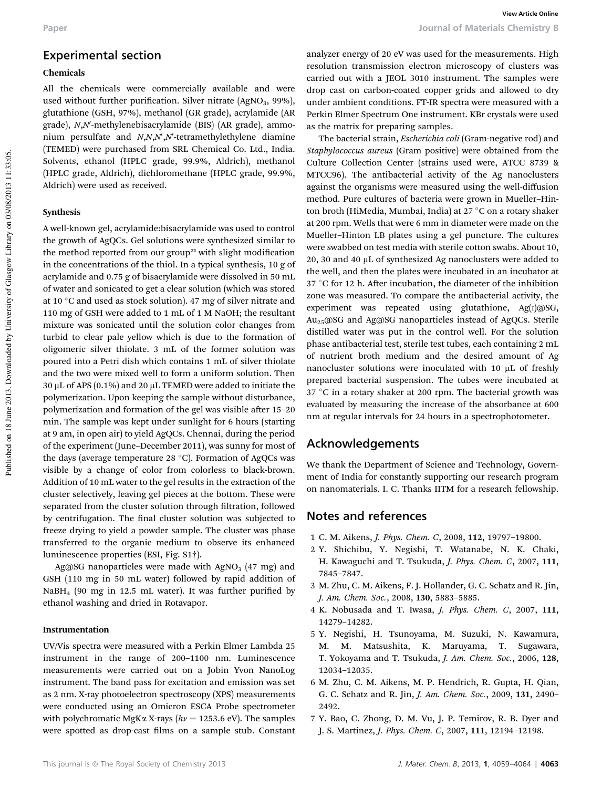### Experimental section

#### Chemicals

All the chemicals were commercially available and were used without further purification. Silver nitrate  $(AgNO<sub>3</sub>, 99%)$ , glutathione (GSH, 97%), methanol (GR grade), acrylamide (AR grade), *N,N*'-methylenebisacrylamide (BIS) (AR grade), ammonium persulfate and *N*,*N*,*N*<sup>,</sup>,N<sup></sup>-tetramethylethylene diamine (TEMED) were purchased from SRL Chemical Co. Ltd., India. Solvents, ethanol (HPLC grade, 99.9%, Aldrich), methanol (HPLC grade, Aldrich), dichloromethane (HPLC grade, 99.9%, Aldrich) were used as received.

#### Synthesis

A well-known gel, acrylamide:bisacrylamide was used to control the growth of AgQCs. Gel solutions were synthesized similar to the method reported from our group<sup>22</sup> with slight modification in the concentrations of the thiol. In a typical synthesis, 10 g of acrylamide and 0.75 g of bisacrylamide were dissolved in 50 mL of water and sonicated to get a clear solution (which was stored at 10 $\degree$ C and used as stock solution). 47 mg of silver nitrate and 110 mg of GSH were added to 1 mL of 1 M NaOH; the resultant mixture was sonicated until the solution color changes from turbid to clear pale yellow which is due to the formation of oligomeric silver thiolate. 3 mL of the former solution was poured into a Petri dish which contains 1 mL of silver thiolate and the two were mixed well to form a uniform solution. Then  $30 \mu$ L of APS (0.1%) and 20  $\mu$ L TEMED were added to initiate the polymerization. Upon keeping the sample without disturbance, polymerization and formation of the gel was visible after 15-20 min. The sample was kept under sunlight for 6 hours (starting at 9 am, in open air) to yield AgQCs. Chennai, during the period of the experiment (June–December 2011), was sunny for most of the days (average temperature 28  $^{\circ}$ C). Formation of AgQCs was visible by a change of color from colorless to black-brown. Addition of 10 mL water to the gel results in the extraction of the cluster selectively, leaving gel pieces at the bottom. These were separated from the cluster solution through filtration, followed by centrifugation. The final cluster solution was subjected to freeze drying to yield a powder sample. The cluster was phase transferred to the organic medium to observe its enhanced luminescence properties (ESI, Fig. S1†).

Ag@SG nanoparticles were made with  $AgNO<sub>3</sub>$  (47 mg) and GSH (110 mg in 50 mL water) followed by rapid addition of NaBH<sub>4</sub> (90 mg in 12.5 mL water). It was further purified by ethanol washing and dried in Rotavapor.

#### Instrumentation

UV/Vis spectra were measured with a Perkin Elmer Lambda 25 instrument in the range of 200–1100 nm. Luminescence measurements were carried out on a Jobin Yvon NanoLog instrument. The band pass for excitation and emission was set as 2 nm. X-ray photoelectron spectroscopy (XPS) measurements were conducted using an Omicron ESCA Probe spectrometer with polychromatic MgK $\alpha$  X-rays ( $h\nu$  = 1253.6 eV). The samples were spotted as drop-cast films on a sample stub. Constant analyzer energy of 20 eV was used for the measurements. High resolution transmission electron microscopy of clusters was carried out with a JEOL 3010 instrument. The samples were drop cast on carbon-coated copper grids and allowed to dry under ambient conditions. FT-IR spectra were measured with a Perkin Elmer Spectrum One instrument. KBr crystals were used as the matrix for preparing samples.

The bacterial strain, *Escherichia coli* (Gram-negative rod) and *Staphylococcus aureus* (Gram positive) were obtained from the Culture Collection Center (strains used were, ATCC 8739 & MTCC96). The antibacterial activity of the Ag nanoclusters against the organisms were measured using the well-diffusion method. Pure cultures of bacteria were grown in Mueller–Hinton broth (HiMedia, Mumbai, India) at 27 °C on a rotary shaker at 200 rpm. Wells that were 6 mm in diameter were made on the Mueller–Hinton LB plates using a gel puncture. The cultures were swabbed on test media with sterile cotton swabs. About 10, 20, 30 and 40  $\mu$ L of synthesized Ag nanoclusters were added to the well, and then the plates were incubated in an incubator at  $37 °C$  for 12 h. After incubation, the diameter of the inhibition zone was measured. To compare the antibacterial activity, the experiment was repeated using glutathione, Ag(I)@SG, Au25@SG and Ag@SG nanoparticles instead of AgQCs. Sterile distilled water was put in the control well. For the solution phase antibacterial test, sterile test tubes, each containing 2 mL of nutrient broth medium and the desired amount of Ag nanocluster solutions were inoculated with 10  $\mu$ L of freshly prepared bacterial suspension. The tubes were incubated at  $37 °C$  in a rotary shaker at 200 rpm. The bacterial growth was evaluated by measuring the increase of the absorbance at 600 nm at regular intervals for 24 hours in a spectrophotometer.

### Acknowledgements

We thank the Department of Science and Technology, Government of India for constantly supporting our research program on nanomaterials. I. C. Thanks IITM for a research fellowship.

### Notes and references

- 1 C. M. Aikens, *J. Phys. Chem. C*, 2008, 112, 19797–19800.
- 2 Y. Shichibu, Y. Negishi, T. Watanabe, N. K. Chaki, H. Kawaguchi and T. Tsukuda, *J. Phys. Chem. C*, 2007, 111, 7845–7847.
- 3 M. Zhu, C. M. Aikens, F. J. Hollander, G. C. Schatz and R. Jin, *J. Am. Chem. Soc.*, 2008, 130, 5883–5885.
- 4 K. Nobusada and T. Iwasa, *J. Phys. Chem. C*, 2007, 111, 14279–14282.
- 5 Y. Negishi, H. Tsunoyama, M. Suzuki, N. Kawamura, M. M. Matsushita, K. Maruyama, T. Sugawara, T. Yokoyama and T. Tsukuda, *J. Am. Chem. Soc.*, 2006, 128, 12034–12035.
- 6 M. Zhu, C. M. Aikens, M. P. Hendrich, R. Gupta, H. Qian, G. C. Schatz and R. Jin, *J. Am. Chem. Soc.*, 2009, 131, 2490– 2492.
- 7 Y. Bao, C. Zhong, D. M. Vu, J. P. Temirov, R. B. Dyer and J. S. Martinez, *J. Phys. Chem. C*, 2007, 111, 12194–12198.